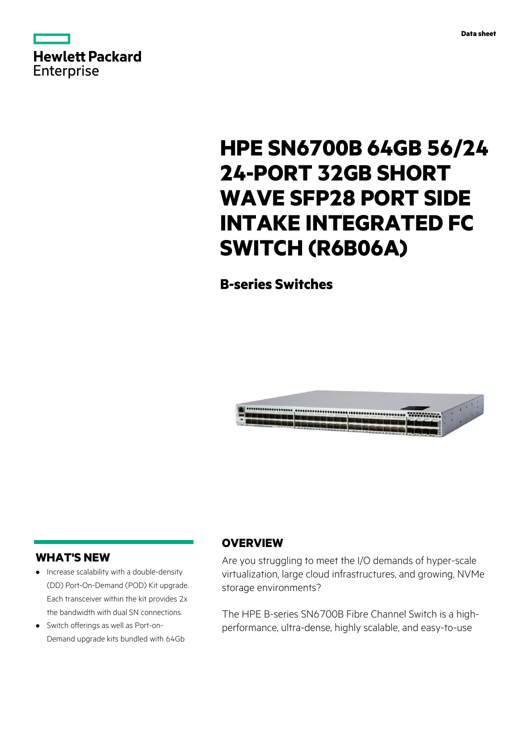

# **HPE SN6700B 64GB 56/24 24-PORT 32GB SHORT WAVE SFP28 PORT SIDE INTAKE INTEGRATED FC SWITCH (R6B06A)**

**B-series Switches**



# **WHAT'S NEW**

- **·** Increase scalability with a double-density (DD) Port-On-Demand (POD) Kit upgrade. Each transceiver within the kit provides 2x the bandwidth with dual SN connections.
- **·** Switch offerings as well as Port-on-Demand upgrade kits bundled with 64Gb

# **OVERVIEW**

Are you struggling to meet the I/O demands of hyper-scale virtualization, large cloud infrastructures, and growing, NVMe storage environments?

The HPE B-series SN6700B Fibre Channel Switch is a highperformance, ultra-dense, highly scalable, and easy-to-use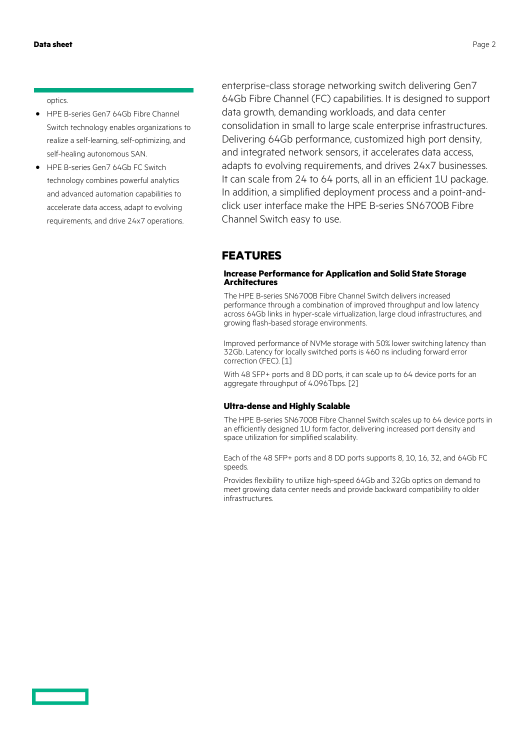optics.

- **·** HPE B-series Gen7 64Gb Fibre Channel Switch technology enables organizations to realize a self-learning, self-optimizing, and self-healing autonomous SAN.
- **·** HPE B-series Gen7 64Gb FC Switch technology combines powerful analytics and advanced automation capabilities to accelerate data access, adapt to evolving requirements, and drive 24x7 operations.

enterprise-class storage networking switch delivering Gen7 64Gb Fibre Channel (FC) capabilities. It is designed to support data growth, demanding workloads, and data center consolidation in small to large scale enterprise infrastructures. Delivering 64Gb performance, customized high port density, and integrated network sensors, it accelerates data access, adapts to evolving requirements, and drives 24x7 businesses. It can scale from 24 to 64 ports, all in an efficient 1U package. In addition, a simplified deployment process and a point-andclick user interface make the HPE B-series SN6700B Fibre Channel Switch easy to use.

### **FEATURES**

### **Increase Performance for Application and Solid State Storage Architectures**

The HPE B-series SN6700B Fibre Channel Switch delivers increased performance through a combination of improved throughput and low latency across 64Gb links in hyper-scale virtualization, large cloud infrastructures, and growing flash-based storage environments.

Improved performance of NVMe storage with 50% lower switching latency than 32Gb. Latency for locally switched ports is 460 ns including forward error correction (FEC). [1]

With 48 SFP+ ports and 8 DD ports, it can scale up to 64 device ports for an aggregate throughput of 4.096Tbps. [2]

### **Ultra-dense and Highly Scalable**

The HPE B-series SN6700B Fibre Channel Switch scales up to 64 device ports in an efficiently designed 1U form factor, delivering increased port density and space utilization for simplified scalability.

Each of the 48 SFP+ ports and 8 DD ports supports 8, 10, 16, 32, and 64Gb FC speeds.

Provides flexibility to utilize high-speed 64Gb and 32Gb optics on demand to meet growing data center needs and provide backward compatibility to older infrastructures.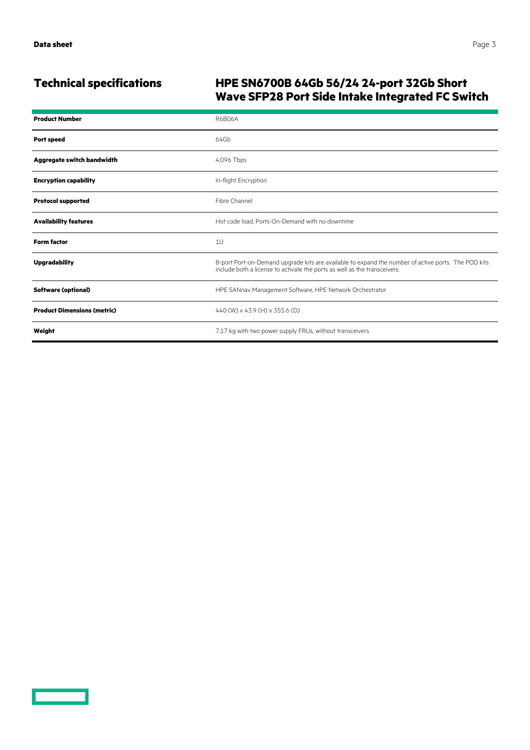# **Technical specifications HPE SN6700B 64Gb 56/24 24-port 32Gb Short Wave SFP28 Port Side Intake Integrated FC Switch**

| <b>Product Number</b>              | <b>R6B06A</b>                                                                                                                                                                    |
|------------------------------------|----------------------------------------------------------------------------------------------------------------------------------------------------------------------------------|
| <b>Port speed</b>                  | 64Gb                                                                                                                                                                             |
| Aggregate switch bandwidth         | 4.096 Tbps                                                                                                                                                                       |
| <b>Encryption capability</b>       | In-flight Encryption                                                                                                                                                             |
| <b>Protocol supported</b>          | Fibre Channel                                                                                                                                                                    |
| <b>Availability features</b>       | Hot code load. Ports-On-Demand with no downtime                                                                                                                                  |
| <b>Form factor</b>                 | 1U                                                                                                                                                                               |
| <b>Upgradability</b>               | 8-port Port-on-Demand upgrade kits are available to expand the number of active ports. The POD kits<br>include both a license to activate the ports as well as the transceivers. |
| <b>Software (optional)</b>         | HPE SANnav Management Software, HPE Network Orchestrator                                                                                                                         |
| <b>Product Dimensions (metric)</b> | 440 (W) x 43.9 (H) x 355.6 (D)                                                                                                                                                   |
| Weight                             | 7.17 kg with two power supply FRUs, without transceivers                                                                                                                         |